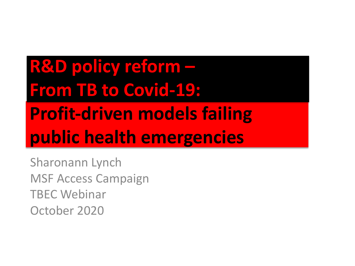### **R&D policy reform – From TB to Covid-19: Profit-driven models failing public health emergencies**

Sharonann Lynch MSF Access Campaign TBEC Webinar October 2020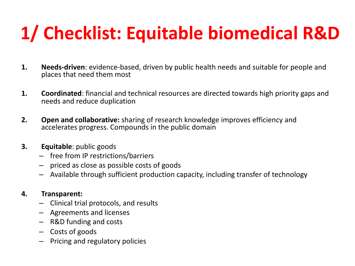### **1/ Checklist: Equitable biomedical R&D**

- **1. Needs-driven**: evidence-based, driven by public health needs and suitable for people and places that need them most
- **1. Coordinated**: financial and technical resources are directed towards high priority gaps and needs and reduce duplication
- **2. Open and collaborative:** sharing of research knowledge improves efficiency and accelerates progress. Compounds in the public domain
- **3. Equitable**: public goods
	- free from IP restrictions/barriers
	- priced as close as possible costs of goods
	- Available through sufficient production capacity, including transfer of technology

#### **4. Transparent:**

- Clinical trial protocols, and results
- Agreements and licenses
- R&D funding and costs
- Costs of goods
- Pricing and regulatory policies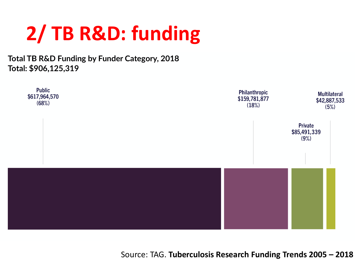### **2/ TB R&D: funding**

**Total TB R&D Funding by Funder Category, 2018** Total: \$906,125,319



Source: TAG. **Tuberculosis Research Funding Trends 2005 – 2018**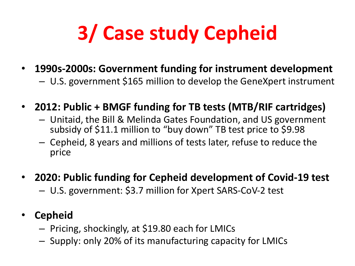# **3/ Case study Cepheid**

- **1990s-2000s: Government funding for instrument development**
	- U.S. government \$165 million to develop the GeneXpert instrument
- **2012: Public + BMGF funding for TB tests (MTB/RIF cartridges)**
	- Unitaid, the Bill & Melinda Gates Foundation, and US government subsidy of \$11.1 million to "buy down" TB test price to \$9.98
	- Cepheid, 8 years and millions of tests later, refuse to reduce the price
- **2020: Public funding for Cepheid development of Covid-19 test** – U.S. government: \$3.7 million for Xpert SARS-CoV-2 test
- **Cepheid**
	- Pricing, shockingly, at \$19.80 each for LMICs
	- Supply: only 20% of its manufacturing capacity for LMICs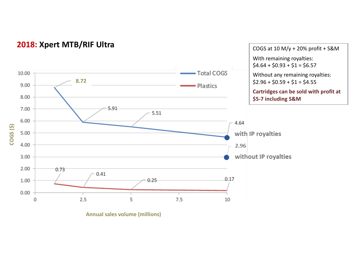

#### **2018: Xpert MTB/RIF Ultra**

**Annual sales volume (millions)**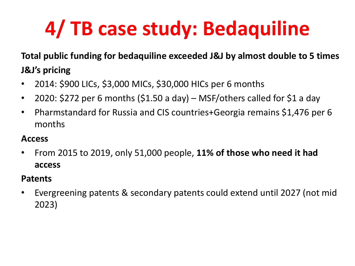# **4/ TB case study: Bedaquiline**

### **Total public funding for bedaquiline exceeded J&J by almost double to 5 times J&J's pricing**

- 2014: \$900 LICs, \$3,000 MICs, \$30,000 HICs per 6 months
- 2020: \$272 per 6 months (\$1.50 a day) MSF/others called for \$1 a day
- Pharmstandard for Russia and CIS countries+Georgia remains \$1,476 per 6 months

### **Access**

• From 2015 to 2019, only 51,000 people, **11% of those who need it had access**

#### **Patents**

• Evergreening patents & secondary patents could extend until 2027 (not mid 2023)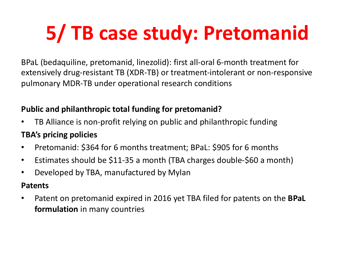# **5/ TB case study: Pretomanid**

BPaL (bedaquiline, pretomanid, linezolid): first all-oral 6-month treatment for extensively drug-resistant TB (XDR-TB) or treatment-intolerant or non-responsive pulmonary MDR-TB under operational research conditions

#### **Public and philanthropic total funding for pretomanid?**

- TB Alliance is non-profit relying on public and philanthropic funding **TBA's pricing policies**
- Pretomanid: \$364 for 6 months treatment; BPaL: \$905 for 6 months
- Estimates should be \$11-35 a month (TBA charges double-\$60 a month)
- Developed by TBA, manufactured by Mylan

#### **Patents**

• Patent on pretomanid expired in 2016 yet TBA filed for patents on the **BPaL formulation** in many countries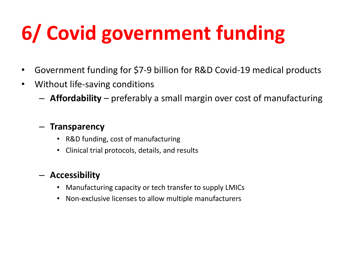# **6/ Covid government funding**

- Government funding for \$7-9 billion for R&D Covid-19 medical products
- Without life-saving conditions
	- **Affordability** preferably a small margin over cost of manufacturing

#### – **Transparency**

- R&D funding, cost of manufacturing
- Clinical trial protocols, details, and results

### – **Accessibility**

- Manufacturing capacity or tech transfer to supply LMICs
- Non-exclusive licenses to allow multiple manufacturers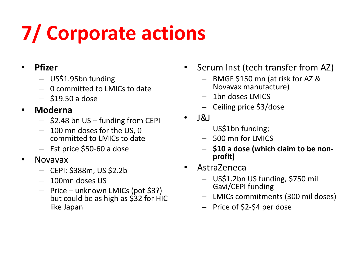# **7/ Corporate actions**

### • **Pfizer**

- US\$1.95bn funding
- 0 committed to LMICs to date
- $-$ \$19.50 a dose

### • **Moderna**

- \$2.48 bn US + funding from CEPI
- 100 mn doses for the US, 0 committed to LMICs to date
- Est price \$50-60 a dose
- Novavax
	- CEPI: \$388m, US \$2.2b
	- 100mn doses US
	- Price unknown LMICs (pot \$3?) but could be as high as \$32 for HIC like Japan
- Serum Inst (tech transfer from AZ)
	- BMGF \$150 mn (at risk for AZ & Novavax manufacture)
	- 1bn doses LMICS
	- Ceiling price \$3/dose
- $\cdot$   $|8|$ 
	- US\$1bn funding;
	- $-500$  mn for LMICS
	- **\$10 a dose (which claim to be non- profit)**
- AstraZeneca
	- US\$1.2bn US funding, \$750 mil Gavi/CEPI funding
	- LMICs commitments (300 mil doses)
	- Price of \$2-\$4 per dose